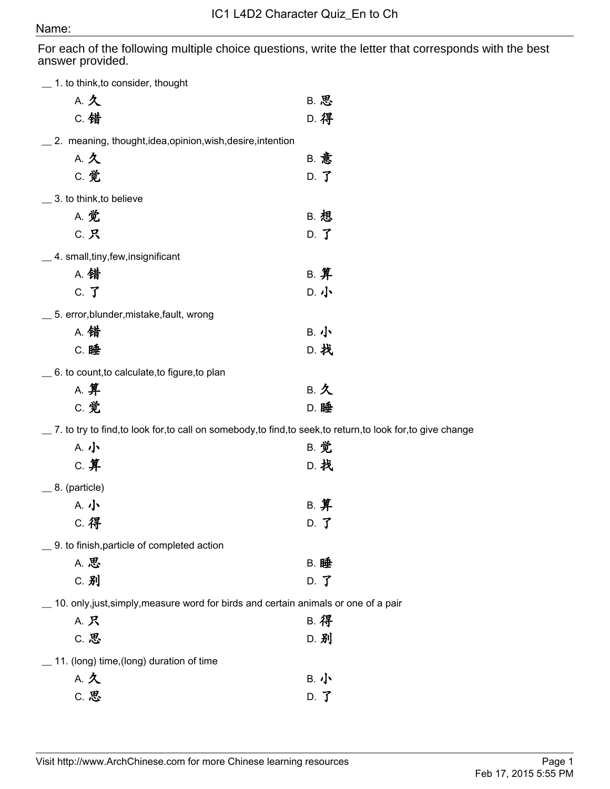## Name:

For each of the following multiple choice questions, write the letter that corresponds with the best answer provided.

| anow <del>o</del> n provided.                                                                             |                    |
|-----------------------------------------------------------------------------------------------------------|--------------------|
| 1. to think, to consider, thought                                                                         |                    |
| A. 久                                                                                                      | <b>B. 思</b>        |
| c. 错                                                                                                      | D. 得               |
| _2. meaning, thought,idea,opinion,wish,desire,intention                                                   |                    |
| A. 久                                                                                                      | <b>B. 意</b>        |
| C. 觉                                                                                                      | $D.$ $\vec{J}$     |
| $\_$ 3. to think, to believe                                                                              |                    |
| A. 觉                                                                                                      | <b>B. 想</b>        |
| <b>C. 只</b>                                                                                               | $D.$ $\vec{J}$     |
| _4. small,tiny,few,insignificant                                                                          |                    |
| A. 错                                                                                                      | <b>B.</b> 算        |
| $C.$ $\mathcal{T}$                                                                                        | $D.$ $J$           |
| _ 5. error, blunder, mistake, fault, wrong                                                                |                    |
| A. 错                                                                                                      | $B.$ 小             |
| C. 睡                                                                                                      | D. 找               |
| 6. to count, to calculate, to figure, to plan                                                             |                    |
| <b>A. 算</b>                                                                                               | <b>B.</b> 久        |
| C. 觉                                                                                                      | D. 睡               |
| __ 7. to try to find,to look for,to call on somebody,to find,to seek,to return,to look for,to give change |                    |
| $A.$ $J$                                                                                                  | B. 觉               |
| C. 算                                                                                                      | D. 找               |
| $=$ 8. (particle)                                                                                         |                    |
| $A.$ $\sqrt{2}$                                                                                           | <b>B.</b> 算        |
| <b>C. 得</b>                                                                                               | $D.$ $\mathcal{T}$ |
| _ 9. to finish, particle of completed action                                                              |                    |
| A. 思                                                                                                      | <b>B. 睡</b>        |
| C. 别                                                                                                      | $D.$ $\vec{J}$     |
| 10. only, just, simply, measure word for birds and certain animals or one of a pair                       |                    |
| A. 只                                                                                                      | <b>B. 得</b>        |
| C. 思                                                                                                      | D. 别               |
| 11. (long) time, (long) duration of time                                                                  |                    |